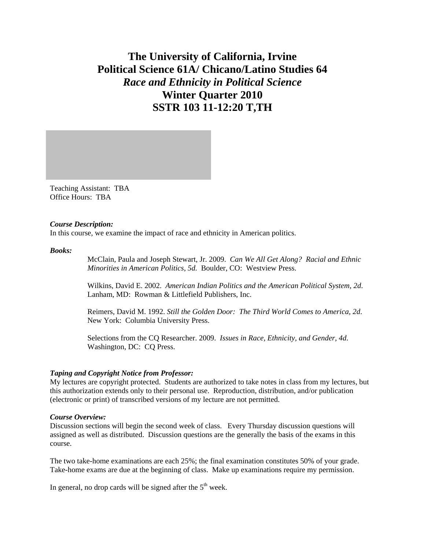# **The University of California, Irvine Political Science 61A/ Chicano/Latino Studies 64**  *Race and Ethnicity in Political Science*  **Winter Quarter 2010 SSTR 103 11-12:20 T,TH**

Teaching Assistant: TBA Office Hours: TBA

#### *Course Description:*

In this course, we examine the impact of race and ethnicity in American politics.

#### *Books:*

McClain, Paula and Joseph Stewart, Jr. 2009. *Can We All Get Along? Racial and Ethnic Minorities in American Politics, 5d.* Boulder, CO: Westview Press.

Wilkins, David E. 2002. *American Indian Politics and the American Political System, 2d*. Lanham, MD: Rowman & Littlefield Publishers, Inc.

Reimers, David M. 1992. *Still the Golden Door: The Third World Comes to America, 2d*. New York: Columbia University Press.

Selections from the CQ Researcher. 2009. *Issues in Race, Ethnicity, and Gender, 4d*. Washington, DC: CQ Press.

# *Taping and Copyright Notice from Professor:*

My lectures are copyright protected. Students are authorized to take notes in class from my lectures, but this authorization extends only to their personal use. Reproduction, distribution, and/or publication (electronic or print) of transcribed versions of my lecture are not permitted.

# *Course Overview:*

Discussion sections will begin the second week of class. Every Thursday discussion questions will assigned as well as distributed. Discussion questions are the generally the basis of the exams in this course.

The two take-home examinations are each 25%; the final examination constitutes 50% of your grade. Take-home exams are due at the beginning of class. Make up examinations require my permission.

In general, no drop cards will be signed after the  $5<sup>th</sup>$  week.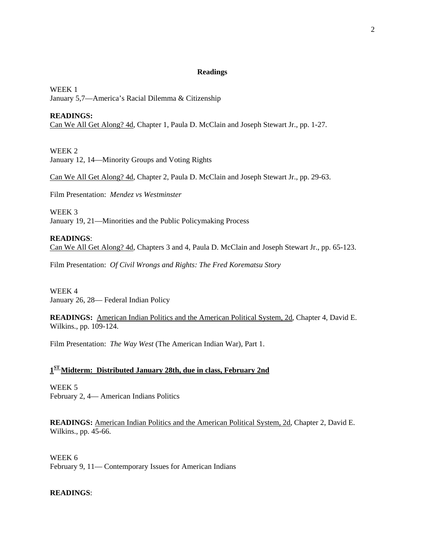## **Readings**

WEEK 1 January 5,7—America's Racial Dilemma & Citizenship

# **READINGS:**

Can We All Get Along? 4d, Chapter 1, Paula D. McClain and Joseph Stewart Jr., pp. 1-27.

WEEK 2 January 12, 14—Minority Groups and Voting Rights

Can We All Get Along? 4d, Chapter 2, Paula D. McClain and Joseph Stewart Jr., pp. 29-63.

Film Presentation: *Mendez vs Westminster*

WEEK 3 January 19, 21—Minorities and the Public Policymaking Process

**READINGS**: Can We All Get Along? 4d, Chapters 3 and 4, Paula D. McClain and Joseph Stewart Jr., pp. 65-123.

Film Presentation: *Of Civil Wrongs and Rights: The Fred Korematsu Story*

WEEK 4 January 26, 28— Federal Indian Policy

**READINGS:** American Indian Politics and the American Political System, 2d, Chapter 4, David E. Wilkins., pp. 109-124.

Film Presentation: *The Way West* (The American Indian War), Part 1.

# **1ST Midterm: Distributed January 28th, due in class, February 2nd**

WEEK 5 February 2, 4— American Indians Politics

**READINGS:** American Indian Politics and the American Political System, 2d, Chapter 2, David E. Wilkins., pp. 45-66.

WEEK 6 February 9, 11— Contemporary Issues for American Indians

# **READINGS**: